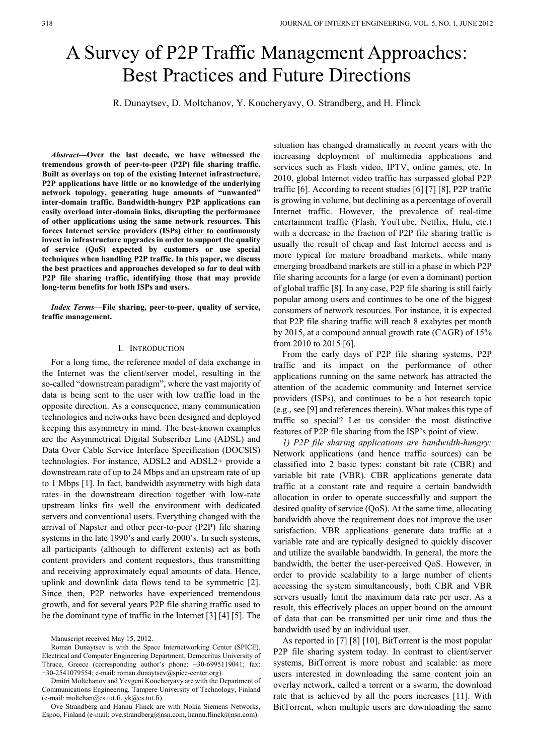# A Survey of P2P Traffic Management Approaches: Best Practices and Future Directions

R. Dunaytsev, D. Moltchanov, Y. Koucheryavy, O. Strandberg, and H. Flinck

*Abstract***—Over the last decade, we have witnessed the tremendous growth of peer-to-peer (P2P) file sharing traffic. Built as overlays on top of the existing Internet infrastructure, P2P applications have little or no knowledge of the underlying network topology, generating huge amounts of "unwanted" inter-domain traffic. Bandwidth-hungry P2P applications can easily overload inter-domain links, disrupting the performance of other applications using the same network resources. This forces Internet service providers (ISPs) either to continuously invest in infrastructure upgrades in order to support the quality of service (QoS) expected by customers or use special techniques when handling P2P traffic. In this paper, we discuss the best practices and approaches developed so far to deal with P2P file sharing traffic, identifying those that may provide long-term benefits for both ISPs and users.**

*Index Terms***—File sharing, peer-to-peer, quality of service, traffic management.**

## I. INTRODUCTION

For a long time, the reference model of data exchange in the Internet was the client/server model, resulting in the so-called "downstream paradigm", where the vast majority of data is being sent to the user with low traffic load in the opposite direction. As a consequence, many communication technologies and networks have been designed and deployed keeping this asymmetry in mind. The best-known examples are the Asymmetrical Digital Subscriber Line (ADSL) and Data Over Cable Service Interface Specification (DOCSIS) technologies. For instance, ADSL2 and ADSL2+ provide a downstream rate of up to 24 Mbps and an upstream rate of up to 1 Mbps [1]. In fact, bandwidth asymmetry with high data rates in the downstream direction together with low-rate upstream links fits well the environment with dedicated servers and conventional users. Everything changed with the arrival of Napster and other peer-to-peer (P2P) file sharing systems in the late 1990's and early 2000's. In such systems, all participants (although to different extents) act as both content providers and content requestors, thus transmitting and receiving approximately equal amounts of data. Hence, uplink and downlink data flows tend to be symmetric [2]. Since then, P2P networks have experienced tremendous growth, and for several years P2P file sharing traffic used to be the dominant type of traffic in the Internet [3] [4] [5]. The

Ove Strandberg and Hannu Flinck are with Nokia Siemens Networks, Espoo, Finland (e-mail: ove.strandberg@nsn.com, hannu.flinck@nsn.com).

situation has changed dramatically in recent years with the increasing deployment of multimedia applications and services such as Flash video, IPTV, online games, etc. In 2010, global Internet video traffic has surpassed global P2P traffic [6]. According to recent studies [6] [7] [8], P2P traffic is growing in volume, but declining as a percentage of overall Internet traffic. However, the prevalence of real-time entertainment traffic (Flash, YouTube, Netflix, Hulu, etc.) with a decrease in the fraction of P2P file sharing traffic is usually the result of cheap and fast Internet access and is more typical for mature broadband markets, while many emerging broadband markets are still in a phase in which P2P file sharing accounts for a large (or even a dominant) portion of global traffic [8]. In any case, P2P file sharing is still fairly popular among users and continues to be one of the biggest consumers of network resources. For instance, it is expected that P2P file sharing traffic will reach 8 exabytes per month by 2015, at a compound annual growth rate (CAGR) of 15% from 2010 to 2015 [6].

From the early days of P2P file sharing systems, P2P traffic and its impact on the performance of other applications running on the same network has attracted the attention of the academic community and Internet service providers (ISPs), and continues to be a hot research topic (e.g., see [9] and references therein). What makes this type of traffic so special? Let us consider the most distinctive features of P2P file sharing from the ISP's point of view.

*1) P2P file sharing applications are bandwidth-hungry:* Network applications (and hence traffic sources) can be classified into 2 basic types: constant bit rate (CBR) and variable bit rate (VBR). CBR applications generate data traffic at a constant rate and require a certain bandwidth allocation in order to operate successfully and support the desired quality of service (QoS). At the same time, allocating bandwidth above the requirement does not improve the user satisfaction. VBR applications generate data traffic at a variable rate and are typically designed to quickly discover and utilize the available bandwidth. In general, the more the bandwidth, the better the user-perceived QoS. However, in order to provide scalability to a large number of clients accessing the system simultaneously, both CBR and VBR servers usually limit the maximum data rate per user. As a result, this effectively places an upper bound on the amount of data that can be transmitted per unit time and thus the bandwidth used by an individual user.

As reported in [7] [8] [10], BitTorrent is the most popular P2P file sharing system today. In contrast to client/server systems, BitTorrent is more robust and scalable: as more users interested in downloading the same content join an overlay network, called a torrent or a swarm, the download rate that is achieved by all the peers increases [11]. With BitTorrent, when multiple users are downloading the same

Manuscript received May 15, 2012.

Roman Dunaytsev is with the Space Internetworking Center (SPICE), Electrical and Computer Engineering Department, Democritus University of Thrace, Greece (corresponding author's phone: +30-6995119041; fax: +30-2541079554; e-mail: roman.dunaytsev@spice-center.org).

Dmitri Moltchanov and Yevgeni Koucheryavy are with the Department of Communications Engineering, Tampere University of Technology, Finland  $(e-mail: moltchan@cs.tut.fi, yk@cs.tut.fi)$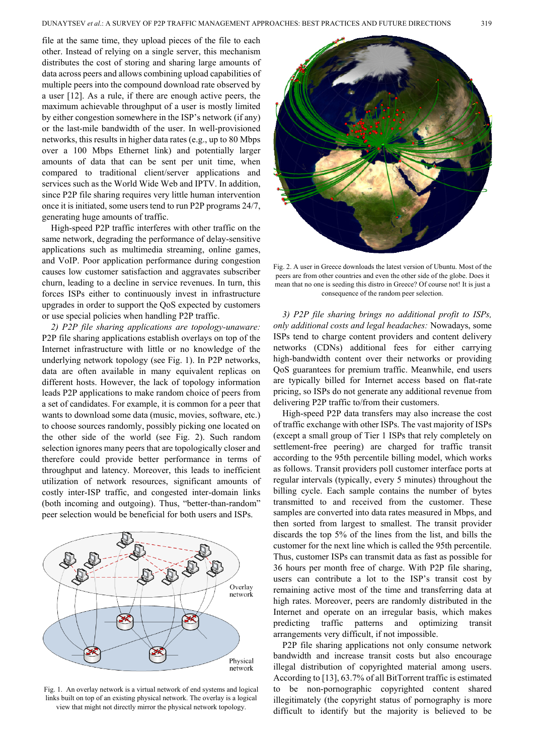file at the same time, they upload pieces of the file to each other. Instead of relying on a single server, this mechanism distributes the cost of storing and sharing large amounts of data across peers and allows combining upload capabilities of multiple peers into the compound download rate observed by a user [12]. As a rule, if there are enough active peers, the maximum achievable throughput of a user is mostly limited by either congestion somewhere in the ISP's network (if any) or the last-mile bandwidth of the user. In well-provisioned networks, this results in higher data rates (e.g., up to 80 Mbps over a 100 Mbps Ethernet link) and potentially larger amounts of data that can be sent per unit time, when compared to traditional client/server applications and services such as the World Wide Web and IPTV. In addition, since P2P file sharing requires very little human intervention once it is initiated, some users tend to run P2P programs 24/7, generating huge amounts of traffic.

High-speed P2P traffic interferes with other traffic on the same network, degrading the performance of delay-sensitive applications such as multimedia streaming, online games, and VoIP. Poor application performance during congestion causes low customer satisfaction and aggravates subscriber churn, leading to a decline in service revenues. In turn, this forces ISPs either to continuously invest in infrastructure upgrades in order to support the QoS expected by customers or use special policies when handling P2P traffic.

*2) P2P file sharing applications are topology-unaware:* P2P file sharing applications establish overlays on top of the Internet infrastructure with little or no knowledge of the underlying network topology (see Fig. 1). In P2P networks, data are often available in many equivalent replicas on different hosts. However, the lack of topology information leads P2P applications to make random choice of peers from a set of candidates. For example, it is common for a peer that wants to download some data (music, movies, software, etc.) to choose sources randomly, possibly picking one located on the other side of the world (see Fig. 2). Such random selection ignores many peers that are topologically closer and therefore could provide better performance in terms of throughput and latency. Moreover, this leads to inefficient utilization of network resources, significant amounts of costly inter-ISP traffic, and congested inter-domain links (both incoming and outgoing). Thus, "better-than-random" peer selection would be beneficial for both users and ISPs.



Fig. 1. An overlay network is a virtual network of end systems and logical links built on top of an existing physical network. The overlay is a logical view that might not directly mirror the physical network topology.



Fig. 2. A user in Greece downloads the latest version of Ubuntu. Most of the peers are from other countries and even the other side of the globe. Does it mean that no one is seeding this distro in Greece? Of course not! It is just a consequence of the random peer selection.

*3) P2P file sharing brings no additional profit to ISPs, only additional costs and legal headaches:* Nowadays, some ISPs tend to charge content providers and content delivery networks (CDNs) additional fees for either carrying high-bandwidth content over their networks or providing QoS guarantees for premium traffic. Meanwhile, end users are typically billed for Internet access based on flat-rate pricing, so ISPs do not generate any additional revenue from delivering P2P traffic to/from their customers.

High-speed P2P data transfers may also increase the cost of traffic exchange with other ISPs. The vast majority of ISPs (except a small group of Tier 1 ISPs that rely completely on settlement-free peering) are charged for traffic transit according to the 95th percentile billing model, which works as follows. Transit providers poll customer interface ports at regular intervals (typically, every 5 minutes) throughout the billing cycle. Each sample contains the number of bytes transmitted to and received from the customer. These samples are converted into data rates measured in Mbps, and then sorted from largest to smallest. The transit provider discards the top 5% of the lines from the list, and bills the customer for the next line which is called the 95th percentile. Thus, customer ISPs can transmit data as fast as possible for 36 hours per month free of charge. With P2P file sharing, users can contribute a lot to the ISP's transit cost by remaining active most of the time and transferring data at high rates. Moreover, peers are randomly distributed in the Internet and operate on an irregular basis, which makes predicting traffic patterns and optimizing transit arrangements very difficult, if not impossible.

P2P file sharing applications not only consume network bandwidth and increase transit costs but also encourage illegal distribution of copyrighted material among users. According to [13], 63.7% of all BitTorrent traffic is estimated to be non-pornographic copyrighted content shared illegitimately (the copyright status of pornography is more difficult to identify but the majority is believed to be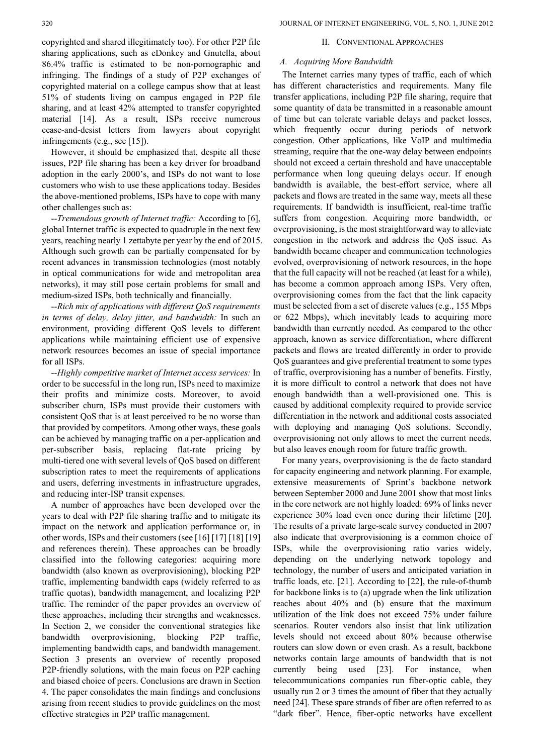copyrighted and shared illegitimately too). For other P2P file sharing applications, such as eDonkey and Gnutella, about 86.4% traffic is estimated to be non-pornographic and infringing. The findings of a study of P2P exchanges of copyrighted material on a college campus show that at least 51% of students living on campus engaged in P2P file sharing, and at least 42% attempted to transfer copyrighted material [14]. As a result, ISPs receive numerous cease-and-desist letters from lawyers about copyright infringements (e.g., see [15]).

However, it should be emphasized that, despite all these issues, P2P file sharing has been a key driver for broadband adoption in the early 2000's, and ISPs do not want to lose customers who wish to use these applications today. Besides the above-mentioned problems, ISPs have to cope with many other challenges such as:

--*Tremendous growth of Internet traffic:* According to [6], global Internet traffic is expected to quadruple in the next few years, reaching nearly 1 zettabyte per year by the end of 2015. Although such growth can be partially compensated for by recent advances in transmission technologies (most notably in optical communications for wide and metropolitan area networks), it may still pose certain problems for small and medium-sized ISPs, both technically and financially.

--*Rich mix of applications with different QoS requirements in terms of delay, delay jitter, and bandwidth:* In such an environment, providing different QoS levels to different applications while maintaining efficient use of expensive network resources becomes an issue of special importance for all ISPs.

--*Highly competitive market of Internet access services:* In order to be successful in the long run, ISPs need to maximize their profits and minimize costs. Moreover, to avoid subscriber churn, ISPs must provide their customers with consistent QoS that is at least perceived to be no worse than that provided by competitors. Among other ways, these goals can be achieved by managing traffic on a per-application and per-subscriber basis, replacing flat-rate pricing by multi-tiered one with several levels of QoS based on different subscription rates to meet the requirements of applications and users, deferring investments in infrastructure upgrades, and reducing inter-ISP transit expenses.

A number of approaches have been developed over the years to deal with P2P file sharing traffic and to mitigate its impact on the network and application performance or, in other words, ISPs and their customers (see [16] [17] [18] [19] and references therein). These approaches can be broadly classified into the following categories: acquiring more bandwidth (also known as overprovisioning), blocking P2P traffic, implementing bandwidth caps (widely referred to as traffic quotas), bandwidth management, and localizing P2P traffic. The reminder of the paper provides an overview of these approaches, including their strengths and weaknesses. In Section 2, we consider the conventional strategies like bandwidth overprovisioning, blocking P2P traffic, implementing bandwidth caps, and bandwidth management. Section 3 presents an overview of recently proposed P2P-friendly solutions, with the main focus on P2P caching and biased choice of peers. Conclusions are drawn in Section 4. The paper consolidates the main findings and conclusions arising from recent studies to provide guidelines on the most effective strategies in P2P traffic management.

## II. CONVENTIONAL APPROACHES

## *A. Acquiring More Bandwidth*

The Internet carries many types of traffic, each of which has different characteristics and requirements. Many file transfer applications, including P2P file sharing, require that some quantity of data be transmitted in a reasonable amount of time but can tolerate variable delays and packet losses, which frequently occur during periods of network congestion. Other applications, like VoIP and multimedia streaming, require that the one-way delay between endpoints should not exceed a certain threshold and have unacceptable performance when long queuing delays occur. If enough bandwidth is available, the best-effort service, where all packets and flows are treated in the same way, meets all these requirements. If bandwidth is insufficient, real-time traffic suffers from congestion. Acquiring more bandwidth, or overprovisioning, is the most straightforward way to alleviate congestion in the network and address the QoS issue. As bandwidth became cheaper and communication technologies evolved, overprovisioning of network resources, in the hope that the full capacity will not be reached (at least for a while), has become a common approach among ISPs. Very often, overprovisioning comes from the fact that the link capacity must be selected from a set of discrete values (e.g., 155 Mbps or 622 Mbps), which inevitably leads to acquiring more bandwidth than currently needed. As compared to the other approach, known as service differentiation, where different packets and flows are treated differently in order to provide QoS guarantees and give preferential treatment to some types of traffic, overprovisioning has a number of benefits. Firstly, it is more difficult to control a network that does not have enough bandwidth than a well-provisioned one. This is caused by additional complexity required to provide service differentiation in the network and additional costs associated with deploying and managing QoS solutions. Secondly, overprovisioning not only allows to meet the current needs, but also leaves enough room for future traffic growth.

For many years, overprovisioning is the de facto standard for capacity engineering and network planning. For example, extensive measurements of Sprint's backbone network between September 2000 and June 2001 show that most links in the core network are not highly loaded: 69% of links never experience 30% load even once during their lifetime [20]. The results of a private large-scale survey conducted in 2007 also indicate that overprovisioning is a common choice of ISPs, while the overprovisioning ratio varies widely, depending on the underlying network topology and technology, the number of users and anticipated variation in traffic loads, etc. [21]. According to [22], the rule-of-thumb for backbone links is to (a) upgrade when the link utilization reaches about 40% and (b) ensure that the maximum utilization of the link does not exceed 75% under failure scenarios. Router vendors also insist that link utilization levels should not exceed about 80% because otherwise routers can slow down or even crash. As a result, backbone networks contain large amounts of bandwidth that is not currently being used [23]. For instance, when telecommunications companies run fiber-optic cable, they usually run 2 or 3 times the amount of fiber that they actually need [24]. These spare strands of fiber are often referred to as "dark fiber". Hence, fiber-optic networks have excellent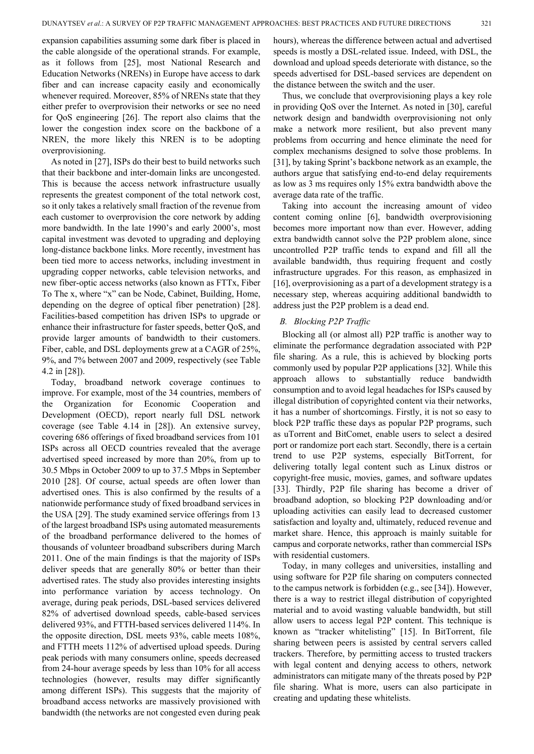expansion capabilities assuming some dark fiber is placed in the cable alongside of the operational strands. For example, as it follows from [25], most National Research and Education Networks (NRENs) in Europe have access to dark fiber and can increase capacity easily and economically whenever required. Moreover, 85% of NRENs state that they either prefer to overprovision their networks or see no need for QoS engineering [26]. The report also claims that the lower the congestion index score on the backbone of a NREN, the more likely this NREN is to be adopting overprovisioning.

As noted in [27], ISPs do their best to build networks such that their backbone and inter-domain links are uncongested. This is because the access network infrastructure usually represents the greatest component of the total network cost, so it only takes a relatively small fraction of the revenue from each customer to overprovision the core network by adding more bandwidth. In the late 1990's and early 2000's, most capital investment was devoted to upgrading and deploying long-distance backbone links. More recently, investment has been tied more to access networks, including investment in upgrading copper networks, cable television networks, and new fiber-optic access networks (also known as FTTx, Fiber To The x, where "x" can be Node, Cabinet, Building, Home, depending on the degree of optical fiber penetration) [28]. Facilities-based competition has driven ISPs to upgrade or enhance their infrastructure for faster speeds, better QoS, and provide larger amounts of bandwidth to their customers. Fiber, cable, and DSL deployments grew at a CAGR of 25%, 9%, and 7% between 2007 and 2009, respectively (see Table 4.2 in [28]).

Today, broadband network coverage continues to improve. For example, most of the 34 countries, members of the Organization for Economic Cooperation and Development (OECD), report nearly full DSL network coverage (see Table 4.14 in [28]). An extensive survey, covering 686 offerings of fixed broadband services from 101 ISPs across all OECD countries revealed that the average advertised speed increased by more than 20%, from up to 30.5 Mbps in October 2009 to up to 37.5 Mbps in September 2010 [28]. Of course, actual speeds are often lower than advertised ones. This is also confirmed by the results of a nationwide performance study of fixed broadband services in the USA [29]. The study examined service offerings from 13 of the largest broadband ISPs using automated measurements of the broadband performance delivered to the homes of thousands of volunteer broadband subscribers during March 2011. One of the main findings is that the majority of ISPs deliver speeds that are generally 80% or better than their advertised rates. The study also provides interesting insights into performance variation by access technology. On average, during peak periods, DSL-based services delivered 82% of advertised download speeds, cable-based services delivered 93%, and FTTH-based services delivered 114%. In the opposite direction, DSL meets 93%, cable meets 108%, and FTTH meets 112% of advertised upload speeds. During peak periods with many consumers online, speeds decreased from 24-hour average speeds by less than 10% for all access technologies (however, results may differ significantly among different ISPs). This suggests that the majority of broadband access networks are massively provisioned with bandwidth (the networks are not congested even during peak hours), whereas the difference between actual and advertised speeds is mostly a DSL-related issue. Indeed, with DSL, the download and upload speeds deteriorate with distance, so the speeds advertised for DSL-based services are dependent on the distance between the switch and the user.

Thus, we conclude that overprovisioning plays a key role in providing QoS over the Internet. As noted in [30], careful network design and bandwidth overprovisioning not only make a network more resilient, but also prevent many problems from occurring and hence eliminate the need for complex mechanisms designed to solve those problems. In [31], by taking Sprint's backbone network as an example, the authors argue that satisfying end-to-end delay requirements as low as 3 ms requires only 15% extra bandwidth above the average data rate of the traffic.

Taking into account the increasing amount of video content coming online [6], bandwidth overprovisioning becomes more important now than ever. However, adding extra bandwidth cannot solve the P2P problem alone, since uncontrolled P2P traffic tends to expand and fill all the available bandwidth, thus requiring frequent and costly infrastructure upgrades. For this reason, as emphasized in [16], overprovisioning as a part of a development strategy is a necessary step, whereas acquiring additional bandwidth to address just the P2P problem is a dead end.

# *B. Blocking P2P Traffic*

Blocking all (or almost all) P2P traffic is another way to eliminate the performance degradation associated with P2P file sharing. As a rule, this is achieved by blocking ports commonly used by popular P2P applications [32]. While this approach allows to substantially reduce bandwidth consumption and to avoid legal headaches for ISPs caused by illegal distribution of copyrighted content via their networks, it has a number of shortcomings. Firstly, it is not so easy to block P2P traffic these days as popular P2P programs, such as uTorrent and BitComet, enable users to select a desired port or randomize port each start. Secondly, there is a certain trend to use P2P systems, especially BitTorrent, for delivering totally legal content such as Linux distros or copyright-free music, movies, games, and software updates [33]. Thirdly, P2P file sharing has become a driver of broadband adoption, so blocking P2P downloading and/or uploading activities can easily lead to decreased customer satisfaction and loyalty and, ultimately, reduced revenue and market share. Hence, this approach is mainly suitable for campus and corporate networks, rather than commercial ISPs with residential customers.

Today, in many colleges and universities, installing and using software for P2P file sharing on computers connected to the campus network is forbidden (e.g., see [34]). However, there is a way to restrict illegal distribution of copyrighted material and to avoid wasting valuable bandwidth, but still allow users to access legal P2P content. This technique is known as "tracker whitelisting" [15]. In BitTorrent, file sharing between peers is assisted by central servers called trackers. Therefore, by permitting access to trusted trackers with legal content and denying access to others, network administrators can mitigate many of the threats posed by P2P file sharing. What is more, users can also participate in creating and updating these whitelists.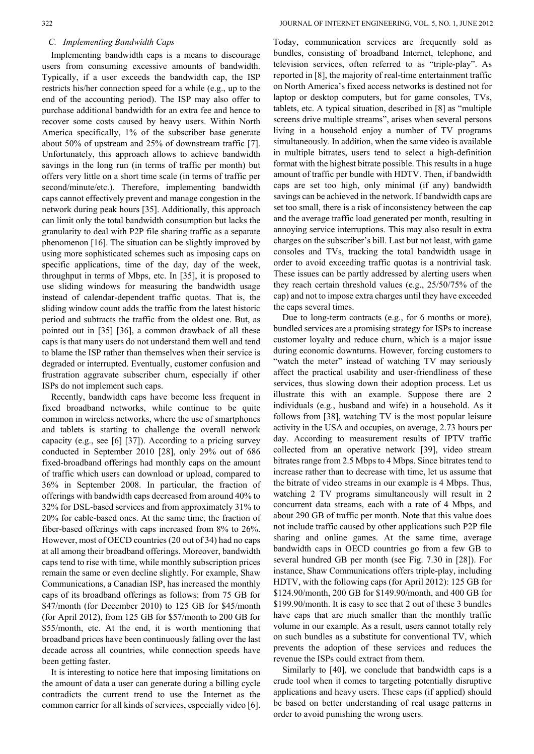## *C. Implementing Bandwidth Caps*

Implementing bandwidth caps is a means to discourage users from consuming excessive amounts of bandwidth. Typically, if a user exceeds the bandwidth cap, the ISP restricts his/her connection speed for a while (e.g., up to the end of the accounting period). The ISP may also offer to purchase additional bandwidth for an extra fee and hence to recover some costs caused by heavy users. Within North America specifically, 1% of the subscriber base generate about 50% of upstream and 25% of downstream traffic [7]. Unfortunately, this approach allows to achieve bandwidth savings in the long run (in terms of traffic per month) but offers very little on a short time scale (in terms of traffic per second/minute/etc.). Therefore, implementing bandwidth caps cannot effectively prevent and manage congestion in the network during peak hours [35]. Additionally, this approach can limit only the total bandwidth consumption but lacks the granularity to deal with P2P file sharing traffic as a separate phenomenon [16]. The situation can be slightly improved by using more sophisticated schemes such as imposing caps on specific applications, time of the day, day of the week, throughput in terms of Mbps, etc. In [35], it is proposed to use sliding windows for measuring the bandwidth usage instead of calendar-dependent traffic quotas. That is, the sliding window count adds the traffic from the latest historic period and subtracts the traffic from the oldest one. But, as pointed out in [35] [36], a common drawback of all these caps is that many users do not understand them well and tend to blame the ISP rather than themselves when their service is degraded or interrupted. Eventually, customer confusion and frustration aggravate subscriber churn, especially if other ISPs do not implement such caps.

Recently, bandwidth caps have become less frequent in fixed broadband networks, while continue to be quite common in wireless networks, where the use of smartphones and tablets is starting to challenge the overall network capacity (e.g., see [6] [37]). According to a pricing survey conducted in September 2010 [28], only 29% out of 686 fixed-broadband offerings had monthly caps on the amount of traffic which users can download or upload, compared to 36% in September 2008. In particular, the fraction of offerings with bandwidth caps decreased from around 40% to 32% for DSL-based services and from approximately 31% to 20% for cable-based ones. At the same time, the fraction of fiber-based offerings with caps increased from 8% to 26%. However, most of OECD countries (20 out of 34) had no caps at all among their broadband offerings. Moreover, bandwidth caps tend to rise with time, while monthly subscription prices remain the same or even decline slightly. For example, Shaw Communications, a Canadian ISP, has increased the monthly caps of its broadband offerings as follows: from 75 GB for \$47/month (for December 2010) to 125 GB for \$45/month (for April 2012), from 125 GB for \$57/month to 200 GB for \$55/month, etc. At the end, it is worth mentioning that broadband prices have been continuously falling over the last decade across all countries, while connection speeds have been getting faster.

It is interesting to notice here that imposing limitations on the amount of data a user can generate during a billing cycle contradicts the current trend to use the Internet as the common carrier for all kinds of services, especially video [6].

Today, communication services are frequently sold as bundles, consisting of broadband Internet, telephone, and television services, often referred to as "triple-play". As reported in [8], the majority of real-time entertainment traffic on North America's fixed access networks is destined not for laptop or desktop computers, but for game consoles, TVs, tablets, etc. A typical situation, described in [8] as "multiple screens drive multiple streams", arises when several persons living in a household enjoy a number of TV programs simultaneously. In addition, when the same video is available in multiple bitrates, users tend to select a high-definition format with the highest bitrate possible. This results in a huge amount of traffic per bundle with HDTV. Then, if bandwidth caps are set too high, only minimal (if any) bandwidth savings can be achieved in the network. If bandwidth caps are set too small, there is a risk of inconsistency between the cap and the average traffic load generated per month, resulting in annoying service interruptions. This may also result in extra charges on the subscriber's bill. Last but not least, with game consoles and TVs, tracking the total bandwidth usage in order to avoid exceeding traffic quotas is a nontrivial task. These issues can be partly addressed by alerting users when they reach certain threshold values (e.g., 25/50/75% of the cap) and not to impose extra charges until they have exceeded the caps several times.

Due to long-term contracts (e.g., for 6 months or more), bundled services are a promising strategy for ISPs to increase customer loyalty and reduce churn, which is a major issue during economic downturns. However, forcing customers to "watch the meter" instead of watching TV may seriously affect the practical usability and user-friendliness of these services, thus slowing down their adoption process. Let us illustrate this with an example. Suppose there are 2 individuals (e.g., husband and wife) in a household. As it follows from [38], watching TV is the most popular leisure activity in the USA and occupies, on average, 2.73 hours per day. According to measurement results of IPTV traffic collected from an operative network [39], video stream bitrates range from 2.5 Mbps to 4 Mbps. Since bitrates tend to increase rather than to decrease with time, let us assume that the bitrate of video streams in our example is 4 Mbps. Thus, watching 2 TV programs simultaneously will result in 2 concurrent data streams, each with a rate of 4 Mbps, and about 290 GB of traffic per month. Note that this value does not include traffic caused by other applications such P2P file sharing and online games. At the same time, average bandwidth caps in OECD countries go from a few GB to several hundred GB per month (see Fig. 7.30 in [28]). For instance, Shaw Communications offers triple-play, including HDTV, with the following caps (for April 2012): 125 GB for \$124.90/month, 200 GB for \$149.90/month, and 400 GB for \$199.90/month. It is easy to see that 2 out of these 3 bundles have caps that are much smaller than the monthly traffic volume in our example. As a result, users cannot totally rely on such bundles as a substitute for conventional TV, which prevents the adoption of these services and reduces the revenue the ISPs could extract from them.

Similarly to [40], we conclude that bandwidth caps is a crude tool when it comes to targeting potentially disruptive applications and heavy users. These caps (if applied) should be based on better understanding of real usage patterns in order to avoid punishing the wrong users.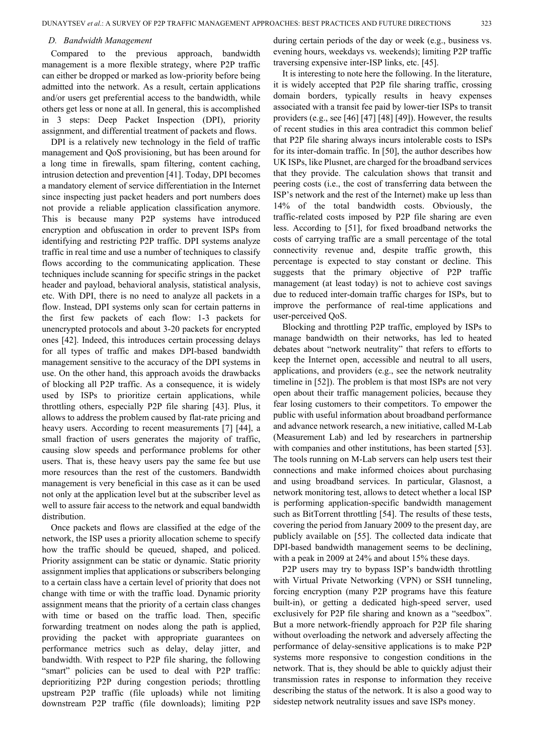#### *D. Bandwidth Management*

Compared to the previous approach, bandwidth management is a more flexible strategy, where P2P traffic can either be dropped or marked as low-priority before being admitted into the network. As a result, certain applications and/or users get preferential access to the bandwidth, while others get less or none at all. In general, this is accomplished in 3 steps: Deep Packet Inspection (DPI), priority assignment, and differential treatment of packets and flows.

DPI is a relatively new technology in the field of traffic management and QoS provisioning, but has been around for a long time in firewalls, spam filtering, content caching, intrusion detection and prevention [41]. Today, DPI becomes a mandatory element of service differentiation in the Internet since inspecting just packet headers and port numbers does not provide a reliable application classification anymore. This is because many P2P systems have introduced encryption and obfuscation in order to prevent ISPs from identifying and restricting P2P traffic. DPI systems analyze traffic in real time and use a number of techniques to classify flows according to the communicating application. These techniques include scanning for specific strings in the packet header and payload, behavioral analysis, statistical analysis, etc. With DPI, there is no need to analyze all packets in a flow. Instead, DPI systems only scan for certain patterns in the first few packets of each flow: 1-3 packets for unencrypted protocols and about 3-20 packets for encrypted ones [42]. Indeed, this introduces certain processing delays for all types of traffic and makes DPI-based bandwidth management sensitive to the accuracy of the DPI systems in use. On the other hand, this approach avoids the drawbacks of blocking all P2P traffic. As a consequence, it is widely used by ISPs to prioritize certain applications, while throttling others, especially P2P file sharing [43]. Plus, it allows to address the problem caused by flat-rate pricing and heavy users. According to recent measurements [7] [44], a small fraction of users generates the majority of traffic, causing slow speeds and performance problems for other users. That is, these heavy users pay the same fee but use more resources than the rest of the customers. Bandwidth management is very beneficial in this case as it can be used not only at the application level but at the subscriber level as well to assure fair access to the network and equal bandwidth distribution.

Once packets and flows are classified at the edge of the network, the ISP uses a priority allocation scheme to specify how the traffic should be queued, shaped, and policed. Priority assignment can be static or dynamic. Static priority assignment implies that applications or subscribers belonging to a certain class have a certain level of priority that does not change with time or with the traffic load. Dynamic priority assignment means that the priority of a certain class changes with time or based on the traffic load. Then, specific forwarding treatment on nodes along the path is applied, providing the packet with appropriate guarantees on performance metrics such as delay, delay jitter, and bandwidth. With respect to P2P file sharing, the following "smart" policies can be used to deal with P2P traffic: deprioritizing P2P during congestion periods; throttling upstream P2P traffic (file uploads) while not limiting downstream P2P traffic (file downloads); limiting P2P

during certain periods of the day or week (e.g., business vs. evening hours, weekdays vs. weekends); limiting P2P traffic traversing expensive inter-ISP links, etc. [45].

It is interesting to note here the following. In the literature, it is widely accepted that P2P file sharing traffic, crossing domain borders, typically results in heavy expenses associated with a transit fee paid by lower-tier ISPs to transit providers (e.g., see [46] [47] [48] [49]). However, the results of recent studies in this area contradict this common belief that P2P file sharing always incurs intolerable costs to ISPs for its inter-domain traffic. In [50], the author describes how UK ISPs, like Plusnet, are charged for the broadband services that they provide. The calculation shows that transit and peering costs (i.e., the cost of transferring data between the ISP's network and the rest of the Internet) make up less than 14% of the total bandwidth costs. Obviously, the traffic-related costs imposed by P2P file sharing are even less. According to [51], for fixed broadband networks the costs of carrying traffic are a small percentage of the total connectivity revenue and, despite traffic growth, this percentage is expected to stay constant or decline. This suggests that the primary objective of P2P traffic management (at least today) is not to achieve cost savings due to reduced inter-domain traffic charges for ISPs, but to improve the performance of real-time applications and user-perceived QoS.

Blocking and throttling P2P traffic, employed by ISPs to manage bandwidth on their networks, has led to heated debates about "network neutrality" that refers to efforts to keep the Internet open, accessible and neutral to all users, applications, and providers (e.g., see the network neutrality timeline in [52]). The problem is that most ISPs are not very open about their traffic management policies, because they fear losing customers to their competitors. To empower the public with useful information about broadband performance and advance network research, a new initiative, called M-Lab (Measurement Lab) and led by researchers in partnership with companies and other institutions, has been started [53]. The tools running on M-Lab servers can help users test their connections and make informed choices about purchasing and using broadband services. In particular, Glasnost, a network monitoring test, allows to detect whether a local ISP is performing application-specific bandwidth management such as BitTorrent throttling [54]. The results of these tests, covering the period from January 2009 to the present day, are publicly available on [55]. The collected data indicate that DPI-based bandwidth management seems to be declining, with a peak in 2009 at 24% and about 15% these days.

P2P users may try to bypass ISP's bandwidth throttling with Virtual Private Networking (VPN) or SSH tunneling, forcing encryption (many P2P programs have this feature built-in), or getting a dedicated high-speed server, used exclusively for P2P file sharing and known as a "seedbox". But a more network-friendly approach for P2P file sharing without overloading the network and adversely affecting the performance of delay-sensitive applications is to make P2P systems more responsive to congestion conditions in the network. That is, they should be able to quickly adjust their transmission rates in response to information they receive describing the status of the network. It is also a good way to sidestep network neutrality issues and save ISPs money.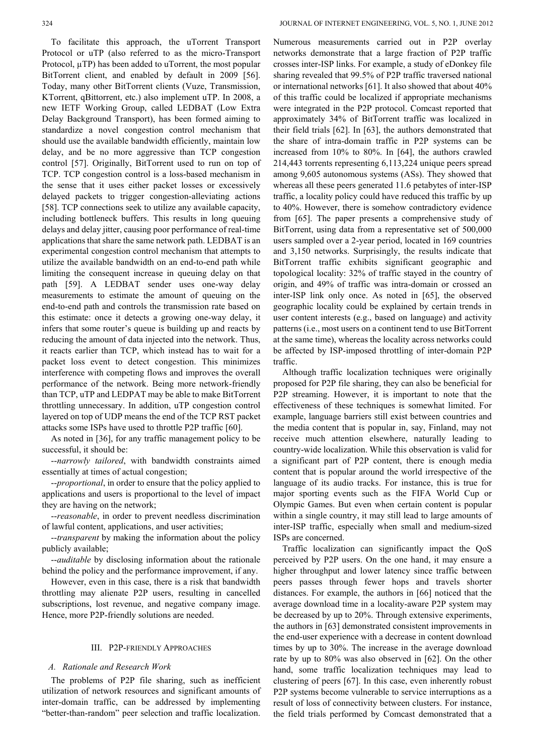To facilitate this approach, the uTorrent Transport Protocol or uTP (also referred to as the micro-Transport Protocol,  $\mu$ TP) has been added to uTorrent, the most popular BitTorrent client, and enabled by default in 2009 [56]. Today, many other BitTorrent clients (Vuze, Transmission, KTorrent, qBittorrent, etc.) also implement uTP. In 2008, a new IETF Working Group, called LEDBAT (Low Extra Delay Background Transport), has been formed aiming to standardize a novel congestion control mechanism that should use the available bandwidth efficiently, maintain low delay, and be no more aggressive than TCP congestion control [57]. Originally, BitTorrent used to run on top of TCP. TCP congestion control is a loss-based mechanism in the sense that it uses either packet losses or excessively delayed packets to trigger congestion-alleviating actions [58]. TCP connections seek to utilize any available capacity, including bottleneck buffers. This results in long queuing delays and delay jitter, causing poor performance of real-time applications that share the same network path. LEDBAT is an experimental congestion control mechanism that attempts to utilize the available bandwidth on an end-to-end path while limiting the consequent increase in queuing delay on that path [59]. A LEDBAT sender uses one-way delay measurements to estimate the amount of queuing on the end-to-end path and controls the transmission rate based on this estimate: once it detects a growing one-way delay, it infers that some router's queue is building up and reacts by reducing the amount of data injected into the network. Thus, it reacts earlier than TCP, which instead has to wait for a packet loss event to detect congestion. This minimizes interference with competing flows and improves the overall performance of the network. Being more network-friendly than TCP, uTP and LEDPAT may be able to make BitTorrent throttling unnecessary. In addition, uTP congestion control layered on top of UDP means the end of the TCP RST packet attacks some ISPs have used to throttle P2P traffic [60].

As noted in [36], for any traffic management policy to be successful, it should be:

--*narrowly tailored*, with bandwidth constraints aimed essentially at times of actual congestion;

--*proportional*, in order to ensure that the policy applied to applications and users is proportional to the level of impact they are having on the network;

--*reasonable*, in order to prevent needless discrimination of lawful content, applications, and user activities;

--*transparent* by making the information about the policy publicly available;

--*auditable* by disclosing information about the rationale behind the policy and the performance improvement, if any.

However, even in this case, there is a risk that bandwidth throttling may alienate P2P users, resulting in cancelled subscriptions, lost revenue, and negative company image. Hence, more P2P-friendly solutions are needed.

# III. P2P-FRIENDLY APPROACHES

# *A. Rationale and Research Work*

The problems of P2P file sharing, such as inefficient utilization of network resources and significant amounts of inter-domain traffic, can be addressed by implementing "better-than-random" peer selection and traffic localization.

Numerous measurements carried out in P2P overlay networks demonstrate that a large fraction of P2P traffic crosses inter-ISP links. For example, a study of eDonkey file sharing revealed that 99.5% of P2P traffic traversed national or international networks [61]. It also showed that about 40% of this traffic could be localized if appropriate mechanisms were integrated in the P2P protocol. Comcast reported that approximately 34% of BitTorrent traffic was localized in their field trials [62]. In [63], the authors demonstrated that the share of intra-domain traffic in P2P systems can be increased from 10% to 80%. In [64], the authors crawled 214,443 torrents representing 6,113,224 unique peers spread among 9,605 autonomous systems (ASs). They showed that whereas all these peers generated 11.6 petabytes of inter-ISP traffic, a locality policy could have reduced this traffic by up to 40%. However, there is somehow contradictory evidence from [65]. The paper presents a comprehensive study of BitTorrent, using data from a representative set of 500,000 users sampled over a 2-year period, located in 169 countries and 3,150 networks. Surprisingly, the results indicate that BitTorrent traffic exhibits significant geographic and topological locality: 32% of traffic stayed in the country of origin, and 49% of traffic was intra-domain or crossed an inter-ISP link only once. As noted in [65], the observed geographic locality could be explained by certain trends in user content interests (e.g., based on language) and activity patterns (i.e., most users on a continent tend to use BitTorrent at the same time), whereas the locality across networks could be affected by ISP-imposed throttling of inter-domain P2P traffic.

Although traffic localization techniques were originally proposed for P2P file sharing, they can also be beneficial for P2P streaming. However, it is important to note that the effectiveness of these techniques is somewhat limited. For example, language barriers still exist between countries and the media content that is popular in, say, Finland, may not receive much attention elsewhere, naturally leading to country-wide localization. While this observation is valid for a significant part of P2P content, there is enough media content that is popular around the world irrespective of the language of its audio tracks. For instance, this is true for major sporting events such as the FIFA World Cup or Olympic Games. But even when certain content is popular within a single country, it may still lead to large amounts of inter-ISP traffic, especially when small and medium-sized ISPs are concerned.

Traffic localization can significantly impact the QoS perceived by P2P users. On the one hand, it may ensure a higher throughput and lower latency since traffic between peers passes through fewer hops and travels shorter distances. For example, the authors in [66] noticed that the average download time in a locality-aware P2P system may be decreased by up to 20%. Through extensive experiments, the authors in [63] demonstrated consistent improvements in the end-user experience with a decrease in content download times by up to 30%. The increase in the average download rate by up to 80% was also observed in [62]. On the other hand, some traffic localization techniques may lead to clustering of peers [67]. In this case, even inherently robust P2P systems become vulnerable to service interruptions as a result of loss of connectivity between clusters. For instance, the field trials performed by Comcast demonstrated that a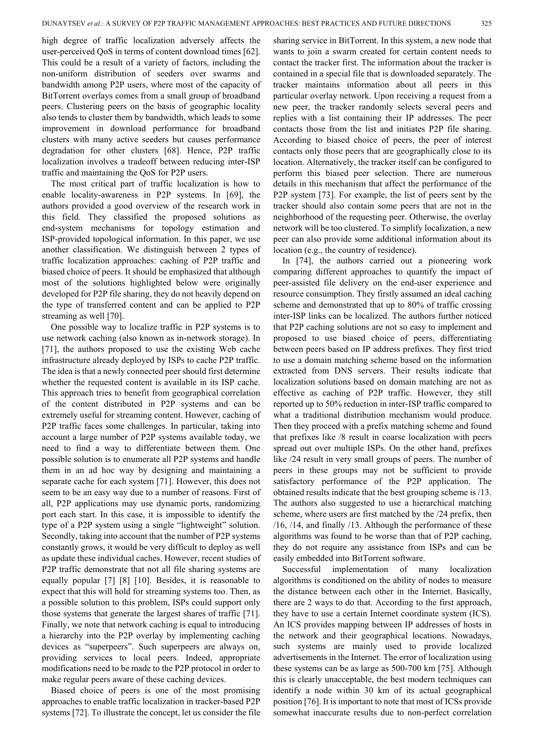high degree of traffic localization adversely affects the user-perceived QoS in terms of content download times [62]. This could be a result of a variety of factors, including the non-uniform distribution of seeders over swarms and bandwidth among P2P users, where most of the capacity of BitTorrent overlays comes from a small group of broadband peers. Clustering peers on the basis of geographic locality also tends to cluster them by bandwidth, which leads to some improvement in download performance for broadband clusters with many active seeders but causes performance degradation for other clusters [68]. Hence, P2P traffic localization involves a tradeoff between reducing inter-ISP traffic and maintaining the QoS for P2P users.

The most critical part of traffic localization is how to enable locality-awareness in P2P systems. In [69], the authors provided a good overview of the research work in this field. They classified the proposed solutions as end-system mechanisms for topology estimation and ISP-provided topological information. In this paper, we use another classification. We distinguish between 2 types of traffic localization approaches: caching of P2P traffic and biased choice of peers. It should be emphasized that although most of the solutions highlighted below were originally developed for P2P file sharing, they do not heavily depend on the type of transferred content and can be applied to P2P streaming as well [70].

One possible way to localize traffic in P2P systems is to use network caching (also known as in-network storage). In [71], the authors proposed to use the existing Web cache infrastructure already deployed by ISPs to cache P2P traffic. The idea is that a newly connected peer should first determine whether the requested content is available in its ISP cache. This approach tries to benefit from geographical correlation of the content distributed in P2P systems and can be extremely useful for streaming content. However, caching of P2P traffic faces some challenges. In particular, taking into account a large number of P2P systems available today, we need to find a way to differentiate between them. One possible solution is to enumerate all P2P systems and handle them in an ad hoc way by designing and maintaining a separate cache for each system [71]. However, this does not seem to be an easy way due to a number of reasons. First of all, P2P applications may use dynamic ports, randomizing port each start. In this case, it is impossible to identify the type of a P2P system using a single "lightweight" solution. Secondly, taking into account that the number of P2P systems constantly grows, it would be very difficult to deploy as well as update these individual caches. However, recent studies of P2P traffic demonstrate that not all file sharing systems are equally popular [7] [8] [10]. Besides, it is reasonable to expect that this will hold for streaming systems too. Then, as a possible solution to this problem, ISPs could support only those systems that generate the largest shares of traffic [71]. Finally, we note that network caching is equal to introducing a hierarchy into the P2P overlay by implementing caching devices as "superpeers". Such superpeers are always on, providing services to local peers. Indeed, appropriate modifications need to be made to the P2P protocol in order to make regular peers aware of these caching devices.

Biased choice of peers is one of the most promising approaches to enable traffic localization in tracker-based P2P systems [72]. To illustrate the concept, let us consider the file

sharing service in BitTorrent. In this system, a new node that wants to join a swarm created for certain content needs to contact the tracker first. The information about the tracker is contained in a special file that is downloaded separately. The tracker maintains information about all peers in this particular overlay network. Upon receiving a request from a new peer, the tracker randomly selects several peers and replies with a list containing their IP addresses. The peer contacts those from the list and initiates P2P file sharing. According to biased choice of peers, the peer of interest contacts only those peers that are geographically close to its location. Alternatively, the tracker itself can be configured to perform this biased peer selection. There are numerous details in this mechanism that affect the performance of the P2P system [73]. For example, the list of peers sent by the tracker should also contain some peers that are not in the neighborhood of the requesting peer. Otherwise, the overlay network will be too clustered. To simplify localization, a new peer can also provide some additional information about its location (e.g., the country of residence).

In [74], the authors carried out a pioneering work comparing different approaches to quantify the impact of peer-assisted file delivery on the end-user experience and resource consumption. They firstly assumed an ideal caching scheme and demonstrated that up to 80% of traffic crossing inter-ISP links can be localized. The authors further noticed that P2P caching solutions are not so easy to implement and proposed to use biased choice of peers, differentiating between peers based on IP address prefixes. They first tried to use a domain matching scheme based on the information extracted from DNS servers. Their results indicate that localization solutions based on domain matching are not as effective as caching of P2P traffic. However, they still reported up to 50% reduction in inter-ISP traffic compared to what a traditional distribution mechanism would produce. Then they proceed with a prefix matching scheme and found that prefixes like /8 result in coarse localization with peers spread out over multiple ISPs. On the other hand, prefixes like  $/24$  result in very small groups of peers. The number of peers in these groups may not be sufficient to provide satisfactory performance of the P2P application. The obtained results indicate that the best grouping scheme is /13. The authors also suggested to use a hierarchical matching scheme, where users are first matched by the /24 prefix, then /16, /14, and finally /13. Although the performance of these algorithms was found to be worse than that of P2P caching, they do not require any assistance from ISPs and can be easily embedded into BitTorrent software.

Successful implementation of many localization algorithms is conditioned on the ability of nodes to measure the distance between each other in the Internet. Basically, there are 2 ways to do that. According to the first approach, they have to use a certain Internet coordinate system (ICS). An ICS provides mapping between IP addresses of hosts in the network and their geographical locations. Nowadays, such systems are mainly used to provide localized advertisements in the Internet. The error of localization using these systems can be as large as 500-700 km [75]. Although this is clearly unacceptable, the best modern techniques can identify a node within 30 km of its actual geographical position [76]. It is important to note that most of ICSs provide somewhat inaccurate results due to non-perfect correlation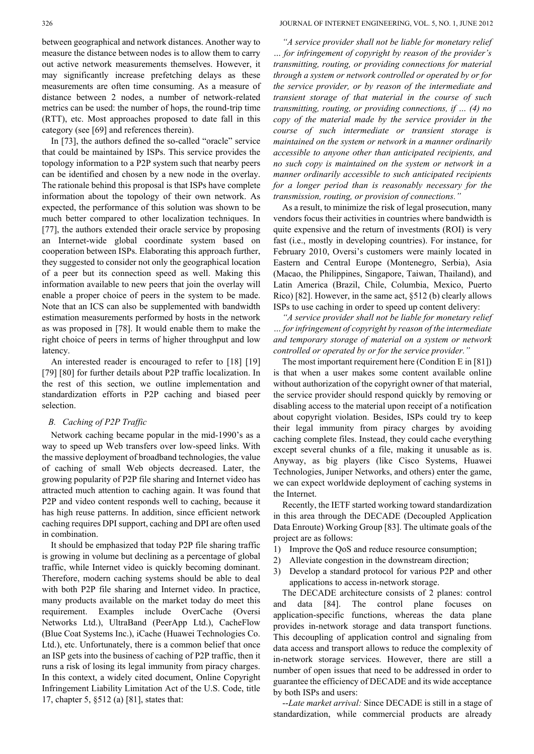between geographical and network distances. Another way to measure the distance between nodes is to allow them to carry out active network measurements themselves. However, it may significantly increase prefetching delays as these measurements are often time consuming. As a measure of distance between 2 nodes, a number of network-related metrics can be used: the number of hops, the round-trip time (RTT), etc. Most approaches proposed to date fall in this category (see [69] and references therein).

In [73], the authors defined the so-called "oracle" service that could be maintained by ISPs. This service provides the topology information to a P2P system such that nearby peers can be identified and chosen by a new node in the overlay. The rationale behind this proposal is that ISPs have complete information about the topology of their own network. As expected, the performance of this solution was shown to be much better compared to other localization techniques. In [77], the authors extended their oracle service by proposing an Internet-wide global coordinate system based on cooperation between ISPs. Elaborating this approach further, they suggested to consider not only the geographical location of a peer but its connection speed as well. Making this information available to new peers that join the overlay will enable a proper choice of peers in the system to be made. Note that an ICS can also be supplemented with bandwidth estimation measurements performed by hosts in the network as was proposed in [78]. It would enable them to make the right choice of peers in terms of higher throughput and low latency.

An interested reader is encouraged to refer to [18] [19] [79] [80] for further details about P2P traffic localization. In the rest of this section, we outline implementation and standardization efforts in P2P caching and biased peer selection.

## *B. Caching of P2P Traffic*

Network caching became popular in the mid-1990's as a way to speed up Web transfers over low-speed links. With the massive deployment of broadband technologies, the value of caching of small Web objects decreased. Later, the growing popularity of P2P file sharing and Internet video has attracted much attention to caching again. It was found that P2P and video content responds well to caching, because it has high reuse patterns. In addition, since efficient network caching requires DPI support, caching and DPI are often used in combination.

It should be emphasized that today P2P file sharing traffic is growing in volume but declining as a percentage of global traffic, while Internet video is quickly becoming dominant. Therefore, modern caching systems should be able to deal with both P2P file sharing and Internet video. In practice, many products available on the market today do meet this requirement. Examples include OverCache (Oversi Networks Ltd.), UltraBand (PeerApp Ltd.), CacheFlow (Blue Coat Systems Inc.), iCache (Huawei Technologies Co. Ltd.), etc. Unfortunately, there is a common belief that once an ISP gets into the business of caching of P2P traffic, then it runs a risk of losing its legal immunity from piracy charges. In this context, a widely cited document, Online Copyright Infringement Liability Limitation Act of the U.S. Code, title 17, chapter 5, §512 (a) [81], states that:

*"A service provider shall not be liable for monetary relief … for infringement of copyright by reason of the provider's transmitting, routing, or providing connections for material through a system or network controlled or operated by or for the service provider, or by reason of the intermediate and transient storage of that material in the course of such transmitting, routing, or providing connections, if … (4) no copy of the material made by the service provider in the course of such intermediate or transient storage is maintained on the system or network in a manner ordinarily accessible to anyone other than anticipated recipients, and no such copy is maintained on the system or network in a manner ordinarily accessible to such anticipated recipients for a longer period than is reasonably necessary for the transmission, routing, or provision of connections."*

As a result, to minimize the risk of legal prosecution, many vendors focus their activities in countries where bandwidth is quite expensive and the return of investments (ROI) is very fast (i.e., mostly in developing countries). For instance, for February 2010, Oversi's customers were mainly located in Eastern and Central Europe (Montenegro, Serbia), Asia (Macao, the Philippines, Singapore, Taiwan, Thailand), and Latin America (Brazil, Chile, Columbia, Mexico, Puerto Rico) [82]. However, in the same act, §512 (b) clearly allows ISPs to use caching in order to speed up content delivery:

*"A service provider shall not be liable for monetary relief … for infringement of copyright by reason of the intermediate and temporary storage of material on a system or network controlled or operated by or for the service provider."*

The most important requirement here (Condition E in [81]) is that when a user makes some content available online without authorization of the copyright owner of that material, the service provider should respond quickly by removing or disabling access to the material upon receipt of a notification about copyright violation. Besides, ISPs could try to keep their legal immunity from piracy charges by avoiding caching complete files. Instead, they could cache everything except several chunks of a file, making it unusable as is. Anyway, as big players (like Cisco Systems, Huawei Technologies, Juniper Networks, and others) enter the game, we can expect worldwide deployment of caching systems in the Internet.

Recently, the IETF started working toward standardization in this area through the DECADE (Decoupled Application Data Enroute) Working Group [83]. The ultimate goals of the project are as follows:

- 1) Improve the QoS and reduce resource consumption;
- 2) Alleviate congestion in the downstream direction;
- 3) Develop a standard protocol for various P2P and other applications to access in-network storage.

The DECADE architecture consists of 2 planes: control and data [84]. The control plane focuses on application-specific functions, whereas the data plane provides in-network storage and data transport functions. This decoupling of application control and signaling from data access and transport allows to reduce the complexity of in-network storage services. However, there are still a number of open issues that need to be addressed in order to guarantee the efficiency of DECADE and its wide acceptance by both ISPs and users:

--*Late market arrival:* Since DECADE is still in a stage of standardization, while commercial products are already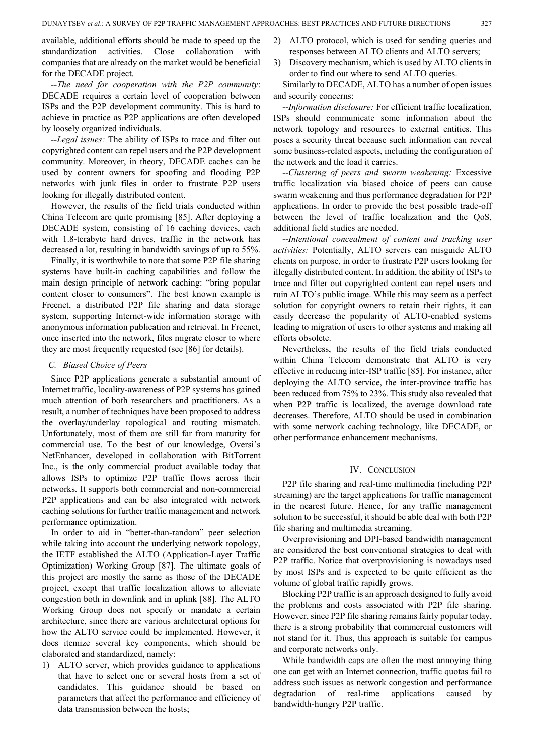available, additional efforts should be made to speed up the standardization activities. Close collaboration with companies that are already on the market would be beneficial for the DECADE project.

--*The need for cooperation with the P2P community*: DECADE requires a certain level of cooperation between ISPs and the P2P development community. This is hard to achieve in practice as P2P applications are often developed by loosely organized individuals.

--*Legal issues:* The ability of ISPs to trace and filter out copyrighted content can repel users and the P2P development community. Moreover, in theory, DECADE caches can be used by content owners for spoofing and flooding P2P networks with junk files in order to frustrate P2P users looking for illegally distributed content.

However, the results of the field trials conducted within China Telecom are quite promising [85]. After deploying a DECADE system, consisting of 16 caching devices, each with 1.8-terabyte hard drives, traffic in the network has decreased a lot, resulting in bandwidth savings of up to 55%.

Finally, it is worthwhile to note that some P2P file sharing systems have built-in caching capabilities and follow the main design principle of network caching: "bring popular content closer to consumers". The best known example is Freenet, a distributed P2P file sharing and data storage system, supporting Internet-wide information storage with anonymous information publication and retrieval. In Freenet, once inserted into the network, files migrate closer to where they are most frequently requested (see [86] for details).

# *C. Biased Choice of Peers*

Since P2P applications generate a substantial amount of Internet traffic, locality-awareness of P2P systems has gained much attention of both researchers and practitioners. As a result, a number of techniques have been proposed to address the overlay/underlay topological and routing mismatch. Unfortunately, most of them are still far from maturity for commercial use. To the best of our knowledge, Oversi's NetEnhancer, developed in collaboration with BitTorrent Inc., is the only commercial product available today that allows ISPs to optimize P2P traffic flows across their networks. It supports both commercial and non-commercial P2P applications and can be also integrated with network caching solutions for further traffic management and network performance optimization.

In order to aid in "better-than-random" peer selection while taking into account the underlying network topology, the IETF established the ALTO (Application-Layer Traffic Optimization) Working Group [87]. The ultimate goals of this project are mostly the same as those of the DECADE project, except that traffic localization allows to alleviate congestion both in downlink and in uplink [88]. The ALTO Working Group does not specify or mandate a certain architecture, since there are various architectural options for how the ALTO service could be implemented. However, it does itemize several key components, which should be elaborated and standardized, namely:

1) ALTO server, which provides guidance to applications that have to select one or several hosts from a set of candidates. This guidance should be based on parameters that affect the performance and efficiency of data transmission between the hosts;

- 2) ALTO protocol, which is used for sending queries and responses between ALTO clients and ALTO servers;
- 3) Discovery mechanism, which is used by ALTO clients in order to find out where to send ALTO queries.

Similarly to DECADE, ALTO has a number of open issues and security concerns:

--*Information disclosure:* For efficient traffic localization, ISPs should communicate some information about the network topology and resources to external entities. This poses a security threat because such information can reveal some business-related aspects, including the configuration of the network and the load it carries.

--*Clustering of peers and* s*warm weakening:* Excessive traffic localization via biased choice of peers can cause swarm weakening and thus performance degradation for P2P applications. In order to provide the best possible trade-off between the level of traffic localization and the QoS, additional field studies are needed.

--*Intentional concealment of content and tracking user activities:* Potentially, ALTO servers can misguide ALTO clients on purpose, in order to frustrate P2P users looking for illegally distributed content. In addition, the ability of ISPs to trace and filter out copyrighted content can repel users and ruin ALTO's public image. While this may seem as a perfect solution for copyright owners to retain their rights, it can easily decrease the popularity of ALTO-enabled systems leading to migration of users to other systems and making all efforts obsolete.

Nevertheless, the results of the field trials conducted within China Telecom demonstrate that ALTO is very effective in reducing inter-ISP traffic [85]. For instance, after deploying the ALTO service, the inter-province traffic has been reduced from 75% to 23%. This study also revealed that when P2P traffic is localized, the average download rate decreases. Therefore, ALTO should be used in combination with some network caching technology, like DECADE, or other performance enhancement mechanisms.

# IV. CONCLUSION

P2P file sharing and real-time multimedia (including P2P streaming) are the target applications for traffic management in the nearest future. Hence, for any traffic management solution to be successful, it should be able deal with both P2P file sharing and multimedia streaming.

Overprovisioning and DPI-based bandwidth management are considered the best conventional strategies to deal with P2P traffic. Notice that overprovisioning is nowadays used by most ISPs and is expected to be quite efficient as the volume of global traffic rapidly grows.

Blocking P2P traffic is an approach designed to fully avoid the problems and costs associated with P2P file sharing. However, since P2P file sharing remains fairly popular today, there is a strong probability that commercial customers will not stand for it. Thus, this approach is suitable for campus and corporate networks only.

While bandwidth caps are often the most annoying thing one can get with an Internet connection, traffic quotas fail to address such issues as network congestion and performance degradation of real-time applications caused by bandwidth-hungry P2P traffic.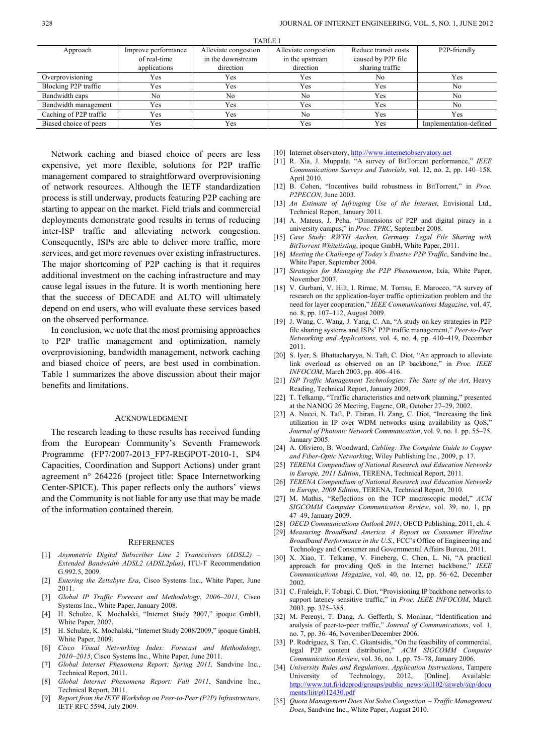| 17DLC 1                |                     |                      |                      |                      |                           |
|------------------------|---------------------|----------------------|----------------------|----------------------|---------------------------|
| Approach               | Improve performance | Alleviate congestion | Alleviate congestion | Reduce transit costs | P <sub>2</sub> P-friendly |
|                        | of real-time        | in the downstream    | in the upstream      | caused by P2P file   |                           |
|                        | applications        | direction            | direction            | sharing traffic      |                           |
| Overprovisioning       | Yes                 | Yes                  | Yes                  | No                   | Yes                       |
| Blocking P2P traffic   | Yes                 | Yes                  | Yes                  | Yes                  | No                        |
| Bandwidth caps         | No                  | No                   | No                   | Yes                  | No                        |
| Bandwidth management   | Yes                 | Yes                  | Yes                  | Yes                  | No                        |
| Caching of P2P traffic | Yes                 | Yes                  | No                   | Yes                  | Yes                       |
| Biased choice of peers | Yes                 | Yes                  | Yes                  | Yes                  | Implementation-defined    |
|                        |                     |                      |                      |                      |                           |

TABLE I

Network caching and biased choice of peers are less expensive, yet more flexible, solutions for P2P traffic management compared to straightforward overprovisioning of network resources. Although the IETF standardization process is still underway, products featuring P2P caching are starting to appear on the market. Field trials and commercial deployments demonstrate good results in terms of reducing inter-ISP traffic and alleviating network congestion. Consequently, ISPs are able to deliver more traffic, more services, and get more revenues over existing infrastructures. The major shortcoming of P2P caching is that it requires additional investment on the caching infrastructure and may cause legal issues in the future. It is worth mentioning here that the success of DECADE and ALTO will ultimately depend on end users, who will evaluate these services based on the observed performance.

In conclusion, we note that the most promising approaches to P2P traffic management and optimization, namely overprovisioning, bandwidth management, network caching and biased choice of peers, are best used in combination. Table 1 summarizes the above discussion about their major benefits and limitations.

## ACKNOWLEDGMENT

The research leading to these results has received funding from the European Community's Seventh Framework Programme (FP7/2007-2013\_FP7-REGPOT-2010-1, SP4 Capacities, Coordination and Support Actions) under grant agreement n° 264226 (project title: Space Internetworking Center-SPICE). This paper reflects only the authors' views and the Community is not liable for any use that may be made of the information contained therein.

## **REFERENCES**

- [1] *Asymmetric Digital Subscriber Line 2 Transceivers (ADSL2) – Extended Bandwidth ADSL2 (ADSL2plus)*, ITU-T Recommendation G.992.5, 2009.
- [2] *Entering the Zettabyte Era*, Cisco Systems Inc., White Paper, June 2011.
- [3] *Global IP Traffic Forecast and Methodology*, *2006–2011,* Cisco Systems Inc., White Paper, January 2008.
- [4] H. Schulze, K. Mochalski, "Internet Study 2007," ipoque GmbH, White Paper, 2007.
- [5] H. Schulze, K. Mochalski, "Internet Study 2008/2009," ipoque GmbH, White Paper, 2009.
- [6] *Cisco Visual Networking Index: Forecast and Methodology, 2010–2015*, Cisco Systems Inc., White Paper, June 2011.
- [7] *Global Internet Phenomena Report: Spring 2011,* Sandvine Inc., Technical Report, 2011.
- [8] *Global Internet Phenomena Report: Fall 2011*, Sandvine Inc., Technical Report, 2011.
- [9] *Report from the IETF Workshop on Peer-to-Peer (P2P) Infrastructure*, IETF RFC 5594, July 2009.

[10] Internet observatory, [http://www.internetobservatory.net](http://www.internetobservatory.net/)

- [11] R. Xia, J. Muppala, "A survey of BitTorrent performance," *IEEE Communications Surveys and Tutorials*, vol. 12, no. 2, pp. 140–158, April 2010.
- [12] B. Cohen, "Incentives build robustness in BitTorrent," in *Proc. P2PECON*, June 2003.
- [13] *An Estimate of Infringing Use of the Internet*, Envisional Ltd., Technical Report, January 2011.
- [14] A. Mateus, J. Peha, "Dimensions of P2P and digital piracy in a university campus," in *Proc. TPRC*, September 2008.
- [15] *Case Study: RWTH Aachen, Germany. Legal File Sharing with BitTorrent Whitelisting*, ipoque GmbH, White Paper, 2011.
- [16] *Meeting the Challenge of Today's Evasive P2P Traffic*, Sandvine Inc., White Paper, September 2004.
- [17] *Strategies for Managing the P2P Phenomenon*, Ixia, White Paper, November 2007.
- [18] V. Gurbani, V. Hilt, I. Rimac, M. Tomsu, E. Marocco, "A survey of research on the application-layer traffic optimization problem and the need for layer cooperation," *IEEE Communications Magazine*, vol. 47, no. 8, pp. 107–112, August 2009.
- [19] J. Wang, C. Wang, J. Yang, C. An, "A study on key strategies in P2P file sharing systems and ISPs' P2P traffic management," *Peer-to-Peer Networking and Applications*, vol. 4, no. 4, pp. 410–419, December 2011.
- [20] S. Iyer, S. Bhattacharyya, N. Taft, C. Diot, "An approach to alleviate link overload as observed on an IP backbone," in *Proc. IEEE INFOCOM*, March 2003, pp. 406–416.
- [21] *ISP Traffic Management Technologies: The State of the Art*, Heavy Reading, Technical Report, January 2009.
- [22] T. Telkamp, "Traffic characteristics and network planning," presented at the NANOG 26 Meeting, Eugene, OR, October 27–29, 2002.
- [23] A. Nucci, N. Taft, P. Thiran, H. Zang, C. Diot, "Increasing the link utilization in IP over WDM networks using availability as QoS," *Journal of Photonic Network Communication*, vol. 9, no. 1. pp. 55–75, January 2005.
- [24] A. Oliviero, B. Woodward, *Cabling: The Complete Guide to Copper and Fiber-Optic Networking*, Wiley Publishing Inc., 2009, p. 17.
- [25] *TERENA Compendium of National Research and Education Networks in Europe, 2011 Edition*, TERENA, Technical Report, 2011.
- [26] *TERENA Compendium of National Research and Education Networks in Europe, 2009 Edition*, TERENA, Technical Report, 2010.
- [27] M. Mathis, "Reflections on the TCP macroscopic model," *ACM SIGCOMM Computer Communication Review*, vol. 39, no. 1, pp. 47–49, January 2009.
- [28] *OECD Communications Outlook 2011*, OECD Publishing, 2011, ch. 4.
- [29] *Measuring Broadband America. A Report on Consumer Wireline Broadband Performance in the U.S.*, FCC's Office of Engineering and Technology and Consumer and Governmental Affairs Bureau, 2011.
- [30] X. Xiao, T. Telkamp, V. Fineberg, C. Chen, L. Ni, "A practical approach for providing QoS in the Internet backbone," *IEEE Communications Magazine*, vol. 40, no. 12, pp. 56–62, December 2002.
- [31] C. Fraleigh, F. Tobagi, C. Diot, "Provisioning IP backbone networks to support latency sensitive traffic," in *Proc. IEEE INFOCOM*, March 2003, pp. 375–385.
- [32] M. Perenyi, T. Dang, A. Gefferth, S. Monlnar, "Identification and analysis of peer-to-peer traffic," *Journal of Communications*, vol. 1, no. 7, pp. 36–46, November/December 2006.
- [33] P. Rodriguez, S. Tan, C. Gkantsidis, "On the feasibility of commercial, legal P2P content distribution," *ACM SIGCOMM Computer Communication Review*, vol. 36, no. 1, pp. 75–78, January 2006.
- [34] *University Rules and Regulations. Application Instructions*, Tampere University of Technology, 2012, [Online]. Available: [http://www.tut.fi/idcprod/groups/public\\_news/@l102/@web/@p/docu](http://www.tut.fi/idcprod/groups/public_news/@l102/@web/@p/documents/liit/p012430.pdf) [ments/liit/p012430.pdf](http://www.tut.fi/idcprod/groups/public_news/@l102/@web/@p/documents/liit/p012430.pdf)
- [35] *Quota Management Does Not Solve Congestion – Traffic Management Does*, Sandvine Inc., White Paper, August 2010.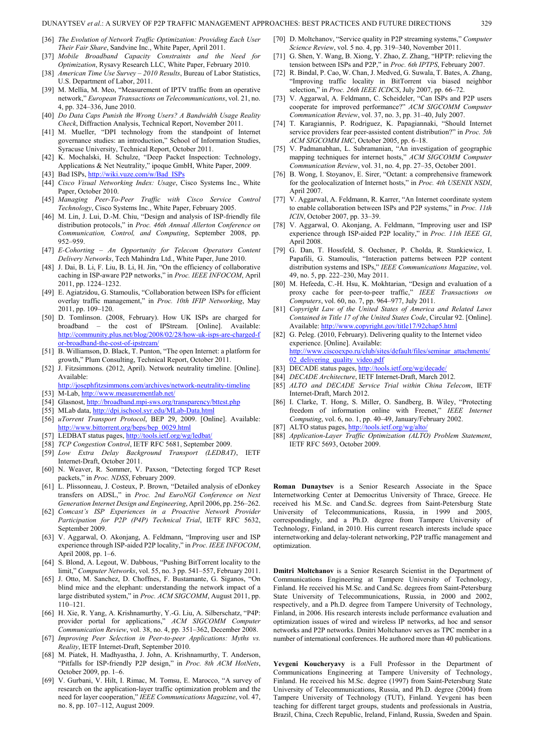#### DUNAYTSEV *et al*.: A SURVEY OF P2P TRAFFIC MANAGEMENT APPROACHES: BEST PRACTICES AND FUTURE DIRECTIONS 329

- [36] *The Evolution of Network Traffic Optimization: Providing Each User Their Fair Share*, Sandvine Inc., White Paper, April 2011.
- [37] *Mobile Broadband Capacity Constraints and the Need for Optimization*, Rysavy Research LLC, White Paper, February 2010.
- [38] *American Time Use Survey – 2010 Results*, Bureau of Labor Statistics, U.S. Department of Labor, 2011.
- [39] M. Mellia, M. Meo, "Measurement of IPTV traffic from an operative network," *European Transactions on Telecommunications*, vol. 21, no. 4, pp. 324–336, June 2010.
- [40] *Do Data Caps Punish the Wrong Users? A Bandwidth Usage Reality Check*, Diffraction Analysis, Technical Report, November 2011.
- [41] M. Mueller, "DPI technology from the standpoint of Internet governance studies: an introduction," School of Information Studies, Syracuse University, Technical Report, October 2011.
- [42] K. Mochalski, H. Schulze, "Deep Packet Inspection: Technology, Applications & Net Neutrality," ipoque GmbH, White Paper, 2009. [43] Bad ISPs[, http://wiki.vuze.com/w/Bad\\_ISPs](http://wiki.vuze.com/w/Bad_ISPs)
- 
- [44] *Cisco Visual Networking Index: Usage*, Cisco Systems Inc., White Paper, October 2010.
- [45] *Managing Peer-To-Peer Traffic with Cisco Service Control Technology*, Cisco Systems Inc., White Paper, February 2005.
- [46] M. Lin, J. Lui, D.-M. Chiu, "Design and analysis of ISP-friendly file distribution protocols," in *Proc. 46th Annual Allerton Conference on Communication, Control, and Computing*, September 2008, pp. 952–959.
- [47] *E-Cohorting – An Opportunity for Telecom Operators Content Delivery Networks*, Tech Mahindra Ltd., White Paper, June 2010.
- [48] J. Dai, B. Li, F. Liu, B. Li, H. Jin, "On the efficiency of collaborative caching in ISP-aware P2P networks," in *Proc. IEEE INFOCOM*, April 2011, pp. 1224–1232.
- [49] E. Agiatzidou, G. Stamoulis, "Collaboration between ISPs for efficient overlay traffic management," in *Proc. 10th IFIP Networking*, May 2011, pp. 109–120.
- [50] D. Tomlinson. (2008, February). How UK ISPs are charged for broadband – the cost of IPStream. [Online]. Available: [http://community.plus.net/blog/2008/02/28/how-uk-isps-are-charged-f](http://community.plus.net/blog/2008/02/28/how-uk-isps-are-charged-for-broadband-the-cost-of-ipstream/) [or-broadband-the-cost-of-ipstream/](http://community.plus.net/blog/2008/02/28/how-uk-isps-are-charged-for-broadband-the-cost-of-ipstream/)
- [51] B. Williamson, D. Black, T. Punton, "The open Internet: a platform for growth," Plum Consulting, Technical Report, October 2011.
- [52] J. Fitzsimmons. (2012, April). Network neutrality timeline. [Online]. Available:
- <http://josephfitzsimmons.com/archives/network-neutrality-timeline> [53] M-Lab,<http://www.measurementlab.net/>
- [54] Glasnost[, http://broadband.mpi-sws.org/transparency/bttest.php](http://broadband.mpi-sws.org/transparency/bttest.php)
- [55] MLab data[, http://dpi.ischool.syr.edu/MLab-Data.html](http://dpi.ischool.syr.edu/MLab-Data.html)
- [56] *uTorrent Transport Protocol*, BEP 29, 2009. [Online]. Available: [http://www.bittorrent.org/beps/bep\\_0029.html](http://www.bittorrent.org/beps/bep_0029.html)
- [57] LEDBAT status pages[, http://tools.ietf.org/wg/ledbat/](http://tools.ietf.org/wg/ledbat/)
- [58] *TCP Congestion Control*, IETF RFC 5681, September 2009.
- [59] *Low Extra Delay Background Transport (LEDBAT)*, IETF
- Internet-Draft, October 2011. [60] N. Weaver, R. Sommer, V. Paxson, "Detecting forged TCP Reset packets," in *Proc. NDSS*, February 2009.
- [61] L. Plissonneau, J. Costeux, P. Brown, "Detailed analysis of eDonkey transfers on ADSL," in *Proc. 2nd EuroNGI Conference on Next Generation Internet Design and Engineering*, April 2006, pp. 256–262.
- [62] *Comcast's ISP Experiences in a Proactive Network Provider Participation for P2P (P4P) Technical Trial*, IETF RFC 5632, September 2009.
- [63] V. Aggarwal, O. Akonjang, A. Feldmann, "Improving user and ISP experience through ISP-aided P2P locality," in *Proc. IEEE INFOCOM*, April 2008, pp. 1–6.
- [64] S. Blond, A. Legout, W. Dabbous, "Pushing BitTorrent locality to the limit," *Computer Networks*, vol. 55, no. 3 pp. 541–557, February 2011.
- [65] J. Otto, M. Sanchez, D. Choffnes, F. Bustamante, G. Siganos, "On blind mice and the elephant: understanding the network impact of a large distributed system," in *Proc. ACM SIGCOMM*, August 2011, pp. 110–121.
- [66] H. Xie, R. Yang, A. Krishnamurthy, Y.-G. Liu, A. Silberschatz, "P4P: provider portal for applications," *ACM SIGCOMM Computer Communication Review*, vol. 38, no. 4, pp. 351–362, December 2008.
- [67] *Improving Peer Selection in Peer-to-peer Applications: Myths vs. Reality*, IETF Internet-Draft, September 2010.
- [68] M. Piatek, H. Madhyastha, J. John, A. Krishnamurthy, T. Anderson, "Pitfalls for ISP-friendly P2P design," in *Proc. 8th ACM HotNets*, October 2009, pp. 1–6.
- [69] V. Gurbani, V. Hilt, I. Rimac, M. Tomsu, E. Marocco, "A survey of research on the application-layer traffic optimization problem and the need for layer cooperation," *IEEE Communications Magazine*, vol. 47, no. 8, pp. 107–112, August 2009.
- [70] D. Moltchanov, "Service quality in P2P streaming systems," *Computer Science Review*, vol. 5 no. 4, pp. 319–340, November 2011.
- [71] G. Shen, Y. Wang, B. Xiong, Y. Zhao, Z. Zhang, "HPTP: relieving the tension between ISPs and P2P," in *Proc. 6th IPTPS*, February 2007.
- [72] R. Bindal, P. Cao, W. Chan, J. Medved, G. Suwala, T. Bates, A. Zhang, "Improving traffic locality in BitTorrent via biased neighbor selection," in *Proc. 26th IEEE ICDCS*, July 2007, pp. 66–72.
- [73] V. Aggarwal, A. Feldmann, C. Scheideler, "Can ISPs and P2P users cooperate for improved performance?" *ACM SIGCOMM Computer Communication Review*, vol. 37, no. 3, pp. 31–40, July 2007.
- [74] T. Karagiannis, P. Rodriguez, K. Papagiannaki, "Should Internet service providers fear peer-assisted content distribution?" in *Proc. 5th ACM SIGCOMM IMC*, October 2005, pp. 6–18.
- [75] V. Padmanabhan, L. Subramanian, "An investigation of geographic mapping techniques for internet hosts," *ACM SIGCOMM Computer Communication Review*, vol. 31, no. 4, pp. 27–35, October 2001.
- [76] B. Wong, I. Stoyanov, E. Sirer, "Octant: a comprehensive framework for the geolocalization of Internet hosts," in *Proc. 4th USENIX NSDI*, April 2007.
- [77] V. Aggarwal, A. Feldmann, R. Karrer, "An Internet coordinate system to enable collaboration between ISPs and P2P systems," in *Proc. 11th ICIN*, October 2007, pp. 33–39.
- [78] V. Aggarwal, O. Akonjang, A. Feldmann, "Improving user and ISP experience through ISP-aided P2P locality," in *Proc. 11th IEEE GI*, April 2008.
- [79] G. Dan, T. Hossfeld, S. Oechsner, P. Cholda, R. Stankiewicz, I. Papafili, G. Stamoulis, "Interaction patterns between P2P content distribution systems and ISPs," *IEEE Communications Magazine*, vol. 49, no. 5, pp. 222–230, May 2011.
- [80] M. Hefeeda, C.-H. Hsu, K. Mokhtarian, "Design and evaluation of a proxy cache for peer-to-peer traffic," *IEEE Transactions on Computers*, vol. 60, no. 7, pp. 964–977, July 2011.
- [81] *Copyright Law of the United States of America and Related Laws Contained in Title 17 of the United States Code*, Circular 92. [Online]. Available: <http://www.copyright.gov/title17/92chap5.html>
- [82] G. Peleg. (2010, February). Delivering quality to the Internet video experience. [Online]. Available: [http://www.ciscoexpo.ru/club/sites/default/files/seminar\\_attachments/](http://www.ciscoexpo.ru/club/sites/default/files/seminar_attachments/02_delivering_quality_video.pdf) 02<sup>delivering</sup> quality video.pdf
- [83] DECADE status pages[, http://tools.ietf.org/wg/decade/](http://tools.ietf.org/wg/decade/)
- [84] *DECADE Architecture*, IETF Internet-Draft, March 2012.
- [85] *ALTO and DECADE Service Trial within China Telecom*, IETF Internet-Draft, March 2012.
- [86] I. Clarke, T. Hong, S. Miller, O. Sandberg, B. Wiley, "Protecting freedom of information online with Freenet," IEEE Internet *Computing*, vol. 6, no. 1, pp. 40–49, January/February 2002.
- [87] ALTO status pages[, http://tools.ietf.org/wg/alto/](http://tools.ietf.org/wg/alto/)
- [88] *Application-Layer Traffic Optimization (ALTO) Problem Statement*, IETF RFC 5693, October 2009.

**Roman Dunaytsev** is a Senior Research Associate in the Space Internetworking Center at Democritus University of Thrace, Greece. He received his M.Sc. and Cand.Sc. degrees from Saint-Petersburg State University of Telecommunications, Russia, in 1999 and 2005, correspondingly, and a Ph.D. degree from Tampere University of Technology, Finland, in 2010. His current research interests include space internetworking and delay-tolerant networking, P2P traffic management and optimization.

**Dmitri Moltchanov** is a Senior Research Scientist in the Department of Communications Engineering at Tampere University of Technology, Finland. He received his M.Sc. and Cand.Sc. degrees from Saint-Petersburg State University of Telecommunications, Russia, in 2000 and 2002, respectively, and a Ph.D. degree from Tampere University of Technology, Finland, in 2006. His research interests include performance evaluation and optimization issues of wired and wireless IP networks, ad hoc and sensor networks and P2P networks. Dmitri Moltchanov serves as TPC member in a number of international conferences. He authored more than 40 publications.

**Yevgeni Koucheryavy** is a Full Professor in the Department of Communications Engineering at Tampere University of Technology, Finland. He received his M.Sc. degree (1997) from Saint-Petersburg State University of Telecommunications, Russia, and Ph.D. degree (2004) from Tampere University of Technology (TUT), Finland. Yevgeni has been teaching for different target groups, students and professionals in Austria, Brazil, China, Czech Republic, Ireland, Finland, Russia, Sweden and Spain.